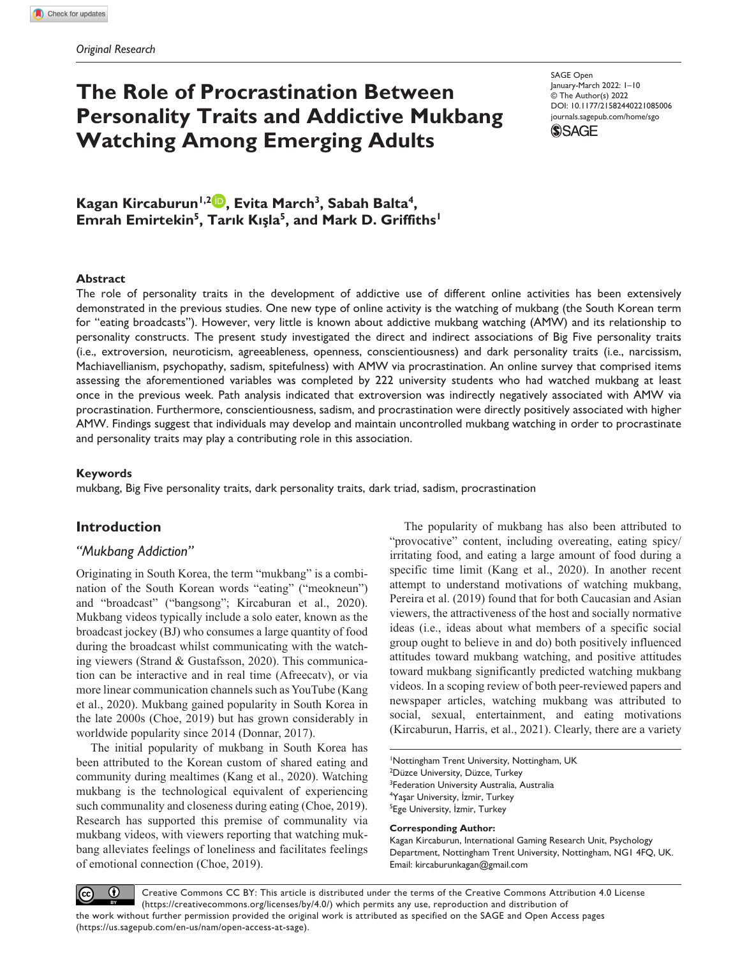# **The Role of Procrastination Between Personality Traits and Addictive Mukbang Watching Among Emerging Adults**

DOI: 10.1177/21582440221085006 SAGE Open January-March 2022: 1–10 © The Author(s) 2022 [journals.sagepub.com/home/sgo](https://journals.sagepub.com/home/sgo)



Kagan Kircaburun<sup>1,2</sup> **D**, Evita March<sup>3</sup>, Sabah Balta<sup>4</sup>, **Emrah Emirtekin<sup>5</sup>, Tarık Kışla<sup>5</sup>, and Mark D. Griffiths<sup>1</sup>** 

#### **Abstract**

The role of personality traits in the development of addictive use of different online activities has been extensively demonstrated in the previous studies. One new type of online activity is the watching of mukbang (the South Korean term for "eating broadcasts"). However, very little is known about addictive mukbang watching (AMW) and its relationship to personality constructs. The present study investigated the direct and indirect associations of Big Five personality traits (i.e., extroversion, neuroticism, agreeableness, openness, conscientiousness) and dark personality traits (i.e., narcissism, Machiavellianism, psychopathy, sadism, spitefulness) with AMW via procrastination. An online survey that comprised items assessing the aforementioned variables was completed by 222 university students who had watched mukbang at least once in the previous week. Path analysis indicated that extroversion was indirectly negatively associated with AMW via procrastination. Furthermore, conscientiousness, sadism, and procrastination were directly positively associated with higher AMW. Findings suggest that individuals may develop and maintain uncontrolled mukbang watching in order to procrastinate and personality traits may play a contributing role in this association.

#### **Keywords**

mukbang, Big Five personality traits, dark personality traits, dark triad, sadism, procrastination

# **Introduction**

## *"Mukbang Addiction"*

Originating in South Korea, the term "mukbang" is a combination of the South Korean words "eating" ("meokneun") and "broadcast" ("bangsong"; Kircaburan et al., 2020). Mukbang videos typically include a solo eater, known as the broadcast jockey (BJ) who consumes a large quantity of food during the broadcast whilst communicating with the watching viewers (Strand & Gustafsson, 2020). This communication can be interactive and in real time (Afreecatv), or via more linear communication channels such as YouTube (Kang et al., 2020). Mukbang gained popularity in South Korea in the late 2000s (Choe, 2019) but has grown considerably in worldwide popularity since 2014 (Donnar, 2017).

The initial popularity of mukbang in South Korea has been attributed to the Korean custom of shared eating and community during mealtimes (Kang et al., 2020). Watching mukbang is the technological equivalent of experiencing such communality and closeness during eating (Choe, 2019). Research has supported this premise of communality via mukbang videos, with viewers reporting that watching mukbang alleviates feelings of loneliness and facilitates feelings of emotional connection (Choe, 2019).

The popularity of mukbang has also been attributed to "provocative" content, including overeating, eating spicy/ irritating food, and eating a large amount of food during a specific time limit (Kang et al., 2020). In another recent attempt to understand motivations of watching mukbang, Pereira et al. (2019) found that for both Caucasian and Asian viewers, the attractiveness of the host and socially normative ideas (i.e., ideas about what members of a specific social group ought to believe in and do) both positively influenced attitudes toward mukbang watching, and positive attitudes toward mukbang significantly predicted watching mukbang videos. In a scoping review of both peer-reviewed papers and newspaper articles, watching mukbang was attributed to social, sexual, entertainment, and eating motivations (Kircaburun, Harris, et al., 2021). Clearly, there are a variety

 Nottingham Trent University, Nottingham, UK Düzce University, Düzce, Turkey <sup>3</sup>Federation University Australia, Australia Yaşar University, İzmir, Turkey Ege University, İzmir, Turkey

#### **Corresponding Author:**

Kagan Kircaburun, International Gaming Research Unit, Psychology Department, Nottingham Trent University, Nottingham, NG1 4FQ, UK. Email: [kircaburunkagan@gmail.com](mailto:kircaburunkagan@gmail.com)

 $\bf \odot$ Creative Commons CC BY: This article is distributed under the terms of the Creative Commons Attribution 4.0 License  $(cc)$ (https://creativecommons.org/licenses/by/4.0/) which permits any use, reproduction and distribution of the work without further permission provided the original work is attributed as specified on the SAGE and Open Access pages (https://us.sagepub.com/en-us/nam/open-access-at-sage).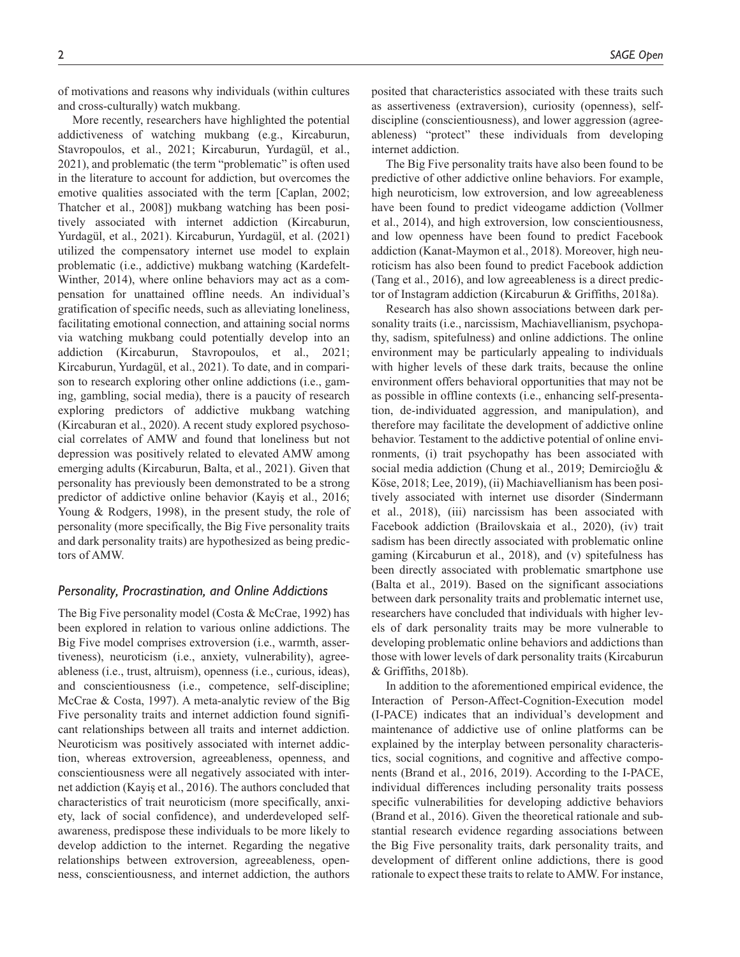of motivations and reasons why individuals (within cultures and cross-culturally) watch mukbang.

More recently, researchers have highlighted the potential addictiveness of watching mukbang (e.g., Kircaburun, Stavropoulos, et al., 2021; Kircaburun, Yurdagül, et al., 2021), and problematic (the term "problematic" is often used in the literature to account for addiction, but overcomes the emotive qualities associated with the term [Caplan, 2002; Thatcher et al., 2008]) mukbang watching has been positively associated with internet addiction (Kircaburun, Yurdagül, et al., 2021). Kircaburun, Yurdagül, et al. (2021) utilized the compensatory internet use model to explain problematic (i.e., addictive) mukbang watching (Kardefelt-Winther, 2014), where online behaviors may act as a compensation for unattained offline needs. An individual's gratification of specific needs, such as alleviating loneliness, facilitating emotional connection, and attaining social norms via watching mukbang could potentially develop into an addiction (Kircaburun, Stavropoulos, et al., 2021; Kircaburun, Yurdagül, et al., 2021). To date, and in comparison to research exploring other online addictions (i.e., gaming, gambling, social media), there is a paucity of research exploring predictors of addictive mukbang watching (Kircaburan et al., 2020). A recent study explored psychosocial correlates of AMW and found that loneliness but not depression was positively related to elevated AMW among emerging adults (Kircaburun, Balta, et al., 2021). Given that personality has previously been demonstrated to be a strong predictor of addictive online behavior (Kayiş et al., 2016; Young & Rodgers, 1998), in the present study, the role of personality (more specifically, the Big Five personality traits and dark personality traits) are hypothesized as being predictors of AMW.

## *Personality, Procrastination, and Online Addictions*

The Big Five personality model (Costa & McCrae, 1992) has been explored in relation to various online addictions. The Big Five model comprises extroversion (i.e., warmth, assertiveness), neuroticism (i.e., anxiety, vulnerability), agreeableness (i.e., trust, altruism), openness (i.e., curious, ideas), and conscientiousness (i.e., competence, self-discipline; McCrae & Costa, 1997). A meta-analytic review of the Big Five personality traits and internet addiction found significant relationships between all traits and internet addiction. Neuroticism was positively associated with internet addiction, whereas extroversion, agreeableness, openness, and conscientiousness were all negatively associated with internet addiction (Kayiş et al., 2016). The authors concluded that characteristics of trait neuroticism (more specifically, anxiety, lack of social confidence), and underdeveloped selfawareness, predispose these individuals to be more likely to develop addiction to the internet. Regarding the negative relationships between extroversion, agreeableness, openness, conscientiousness, and internet addiction, the authors

posited that characteristics associated with these traits such as assertiveness (extraversion), curiosity (openness), selfdiscipline (conscientiousness), and lower aggression (agreeableness) "protect" these individuals from developing internet addiction.

The Big Five personality traits have also been found to be predictive of other addictive online behaviors. For example, high neuroticism, low extroversion, and low agreeableness have been found to predict videogame addiction (Vollmer et al., 2014), and high extroversion, low conscientiousness, and low openness have been found to predict Facebook addiction (Kanat-Maymon et al., 2018). Moreover, high neuroticism has also been found to predict Facebook addiction (Tang et al., 2016), and low agreeableness is a direct predictor of Instagram addiction (Kircaburun & Griffiths, 2018a).

Research has also shown associations between dark personality traits (i.e., narcissism, Machiavellianism, psychopathy, sadism, spitefulness) and online addictions. The online environment may be particularly appealing to individuals with higher levels of these dark traits, because the online environment offers behavioral opportunities that may not be as possible in offline contexts (i.e., enhancing self-presentation, de-individuated aggression, and manipulation), and therefore may facilitate the development of addictive online behavior. Testament to the addictive potential of online environments, (i) trait psychopathy has been associated with social media addiction (Chung et al., 2019; Demircioğlu & Köse, 2018; Lee, 2019), (ii) Machiavellianism has been positively associated with internet use disorder (Sindermann et al., 2018), (iii) narcissism has been associated with Facebook addiction (Brailovskaia et al., 2020), (iv) trait sadism has been directly associated with problematic online gaming (Kircaburun et al., 2018), and (v) spitefulness has been directly associated with problematic smartphone use (Balta et al., 2019). Based on the significant associations between dark personality traits and problematic internet use, researchers have concluded that individuals with higher levels of dark personality traits may be more vulnerable to developing problematic online behaviors and addictions than those with lower levels of dark personality traits (Kircaburun & Griffiths, 2018b).

In addition to the aforementioned empirical evidence, the Interaction of Person-Affect-Cognition-Execution model (I-PACE) indicates that an individual's development and maintenance of addictive use of online platforms can be explained by the interplay between personality characteristics, social cognitions, and cognitive and affective components (Brand et al., 2016, 2019). According to the I-PACE, individual differences including personality traits possess specific vulnerabilities for developing addictive behaviors (Brand et al., 2016). Given the theoretical rationale and substantial research evidence regarding associations between the Big Five personality traits, dark personality traits, and development of different online addictions, there is good rationale to expect these traits to relate to AMW. For instance,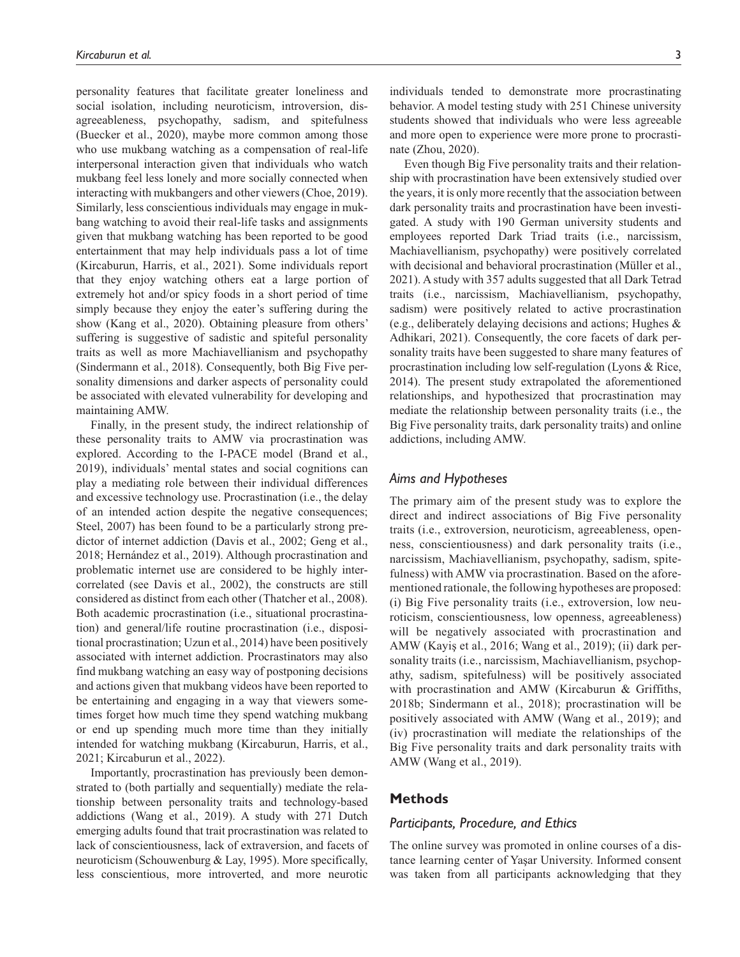personality features that facilitate greater loneliness and social isolation, including neuroticism, introversion, disagreeableness, psychopathy, sadism, and spitefulness (Buecker et al., 2020), maybe more common among those who use mukbang watching as a compensation of real-life interpersonal interaction given that individuals who watch mukbang feel less lonely and more socially connected when interacting with mukbangers and other viewers (Choe, 2019). Similarly, less conscientious individuals may engage in mukbang watching to avoid their real-life tasks and assignments given that mukbang watching has been reported to be good entertainment that may help individuals pass a lot of time (Kircaburun, Harris, et al., 2021). Some individuals report that they enjoy watching others eat a large portion of extremely hot and/or spicy foods in a short period of time simply because they enjoy the eater's suffering during the show (Kang et al., 2020). Obtaining pleasure from others' suffering is suggestive of sadistic and spiteful personality traits as well as more Machiavellianism and psychopathy (Sindermann et al., 2018). Consequently, both Big Five personality dimensions and darker aspects of personality could be associated with elevated vulnerability for developing and maintaining AMW.

Finally, in the present study, the indirect relationship of these personality traits to AMW via procrastination was explored. According to the I-PACE model (Brand et al., 2019), individuals' mental states and social cognitions can play a mediating role between their individual differences and excessive technology use. Procrastination (i.e., the delay of an intended action despite the negative consequences; Steel, 2007) has been found to be a particularly strong predictor of internet addiction (Davis et al., 2002; Geng et al., 2018; Hernández et al., 2019). Although procrastination and problematic internet use are considered to be highly intercorrelated (see Davis et al., 2002), the constructs are still considered as distinct from each other (Thatcher et al., 2008). Both academic procrastination (i.e., situational procrastination) and general/life routine procrastination (i.e., dispositional procrastination; Uzun et al., 2014) have been positively associated with internet addiction. Procrastinators may also find mukbang watching an easy way of postponing decisions and actions given that mukbang videos have been reported to be entertaining and engaging in a way that viewers sometimes forget how much time they spend watching mukbang or end up spending much more time than they initially intended for watching mukbang (Kircaburun, Harris, et al., 2021; Kircaburun et al., 2022).

Importantly, procrastination has previously been demonstrated to (both partially and sequentially) mediate the relationship between personality traits and technology-based addictions (Wang et al., 2019). A study with 271 Dutch emerging adults found that trait procrastination was related to lack of conscientiousness, lack of extraversion, and facets of neuroticism (Schouwenburg & Lay, 1995). More specifically, less conscientious, more introverted, and more neurotic

individuals tended to demonstrate more procrastinating behavior. A model testing study with 251 Chinese university students showed that individuals who were less agreeable and more open to experience were more prone to procrastinate (Zhou, 2020).

Even though Big Five personality traits and their relationship with procrastination have been extensively studied over the years, it is only more recently that the association between dark personality traits and procrastination have been investigated. A study with 190 German university students and employees reported Dark Triad traits (i.e., narcissism, Machiavellianism, psychopathy) were positively correlated with decisional and behavioral procrastination (Müller et al., 2021). A study with 357 adults suggested that all Dark Tetrad traits (i.e., narcissism, Machiavellianism, psychopathy, sadism) were positively related to active procrastination (e.g., deliberately delaying decisions and actions; Hughes & Adhikari, 2021). Consequently, the core facets of dark personality traits have been suggested to share many features of procrastination including low self-regulation (Lyons & Rice, 2014). The present study extrapolated the aforementioned relationships, and hypothesized that procrastination may mediate the relationship between personality traits (i.e., the Big Five personality traits, dark personality traits) and online addictions, including AMW.

## *Aims and Hypotheses*

The primary aim of the present study was to explore the direct and indirect associations of Big Five personality traits (i.e., extroversion, neuroticism, agreeableness, openness, conscientiousness) and dark personality traits (i.e., narcissism, Machiavellianism, psychopathy, sadism, spitefulness) with AMW via procrastination. Based on the aforementioned rationale, the following hypotheses are proposed: (i) Big Five personality traits (i.e., extroversion, low neuroticism, conscientiousness, low openness, agreeableness) will be negatively associated with procrastination and AMW (Kayiş et al., 2016; Wang et al., 2019); (ii) dark personality traits (*i.e.*, narcissism, Machiavellianism, psychopathy, sadism, spitefulness) will be positively associated with procrastination and AMW (Kircaburun & Griffiths, 2018b; Sindermann et al., 2018); procrastination will be positively associated with AMW (Wang et al., 2019); and (iv) procrastination will mediate the relationships of the Big Five personality traits and dark personality traits with AMW (Wang et al., 2019).

## **Methods**

#### *Participants, Procedure, and Ethics*

The online survey was promoted in online courses of a distance learning center of Yaşar University. Informed consent was taken from all participants acknowledging that they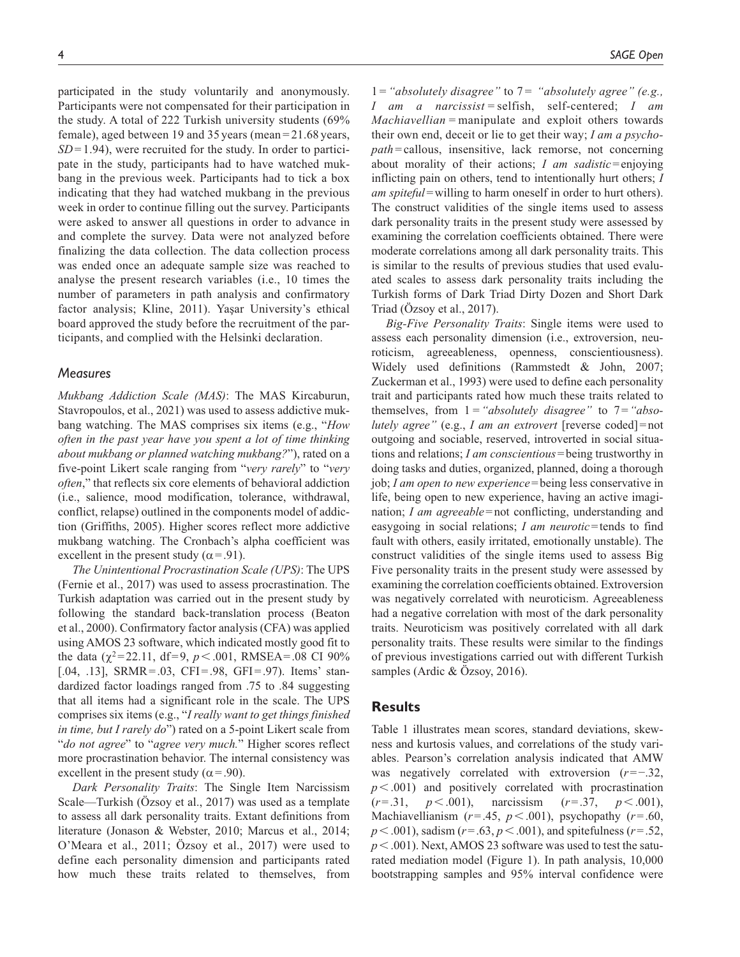participated in the study voluntarily and anonymously. Participants were not compensated for their participation in the study. A total of 222 Turkish university students (69% female), aged between 19 and 35 years (mean = 21.68 years,  $SD = 1.94$ , were recruited for the study. In order to participate in the study, participants had to have watched mukbang in the previous week. Participants had to tick a box indicating that they had watched mukbang in the previous week in order to continue filling out the survey. Participants were asked to answer all questions in order to advance in and complete the survey. Data were not analyzed before finalizing the data collection. The data collection process was ended once an adequate sample size was reached to analyse the present research variables (i.e., 10 times the number of parameters in path analysis and confirmatory factor analysis; Kline, 2011). Yaşar University's ethical board approved the study before the recruitment of the participants, and complied with the Helsinki declaration.

#### *Measures*

*Mukbang Addiction Scale (MAS)*: The MAS Kircaburun, Stavropoulos, et al., 2021) was used to assess addictive mukbang watching. The MAS comprises six items (e.g., "*How often in the past year have you spent a lot of time thinking about mukbang or planned watching mukbang?*"), rated on a five-point Likert scale ranging from "*very rarely*" to "*very often*," that reflects six core elements of behavioral addiction (i.e., salience, mood modification, tolerance, withdrawal, conflict, relapse) outlined in the components model of addiction (Griffiths, 2005). Higher scores reflect more addictive mukbang watching. The Cronbach's alpha coefficient was excellent in the present study ( $\alpha$ =.91).

*The Unintentional Procrastination Scale (UPS)*: The UPS (Fernie et al., 2017) was used to assess procrastination. The Turkish adaptation was carried out in the present study by following the standard back-translation process (Beaton et al., 2000). Confirmatory factor analysis (CFA) was applied using AMOS 23 software, which indicated mostly good fit to the data ( $\chi^2$ =22.11, df=9,  $p$  < .001, RMSEA=.08 CI 90% [.04, .13], SRMR=.03, CFI=.98, GFI=.97). Items' standardized factor loadings ranged from .75 to .84 suggesting that all items had a significant role in the scale. The UPS comprises six items (e.g., "*I really want to get things finished in time, but I rarely do*") rated on a 5-point Likert scale from "*do not agree*" to "*agree very much.*" Higher scores reflect more procrastination behavior. The internal consistency was excellent in the present study ( $\alpha$ =.90).

*Dark Personality Traits*: The Single Item Narcissism Scale—Turkish (Özsoy et al., 2017) was used as a template to assess all dark personality traits. Extant definitions from literature (Jonason & Webster, 2010; Marcus et al., 2014; O'Meara et al., 2011; Özsoy et al., 2017) were used to define each personality dimension and participants rated how much these traits related to themselves, from

1 = *"absolutely disagree"* to 7 = *"absolutely agree" (e.g., I am a narcissist =* selfish, self-centered; *I am Machiavellian =* manipulate and exploit others towards their own end, deceit or lie to get their way; *I am a psychopath* = callous, insensitive, lack remorse, not concerning about morality of their actions; *I am sadistic*=enjoying inflicting pain on others, tend to intentionally hurt others; *I am spiteful*=willing to harm oneself in order to hurt others). The construct validities of the single items used to assess dark personality traits in the present study were assessed by examining the correlation coefficients obtained. There were moderate correlations among all dark personality traits. This is similar to the results of previous studies that used evaluated scales to assess dark personality traits including the Turkish forms of Dark Triad Dirty Dozen and Short Dark Triad (Özsoy et al., 2017).

*Big-Five Personality Traits*: Single items were used to assess each personality dimension (i.e., extroversion, neuroticism, agreeableness, openness, conscientiousness). Widely used definitions (Rammstedt & John, 2007; Zuckerman et al., 1993) were used to define each personality trait and participants rated how much these traits related to themselves, from 1*="absolutely disagree"* to 7=*"absolutely agree"* (e.g., *I am an extrovert* [reverse coded]=not outgoing and sociable, reserved, introverted in social situations and relations; *I am conscientious*=being trustworthy in doing tasks and duties, organized, planned, doing a thorough job; *I am open to new experience*=being less conservative in life, being open to new experience, having an active imagination; *I am agreeable*=not conflicting, understanding and easygoing in social relations; *I am neurotic*=tends to find fault with others, easily irritated, emotionally unstable). The construct validities of the single items used to assess Big Five personality traits in the present study were assessed by examining the correlation coefficients obtained. Extroversion was negatively correlated with neuroticism. Agreeableness had a negative correlation with most of the dark personality traits. Neuroticism was positively correlated with all dark personality traits. These results were similar to the findings of previous investigations carried out with different Turkish samples (Ardic & Özsoy, 2016).

## **Results**

Table 1 illustrates mean scores, standard deviations, skewness and kurtosis values, and correlations of the study variables. Pearson's correlation analysis indicated that AMW was negatively correlated with extroversion (*r*=−.32, *p*<.001) and positively correlated with procrastination (*r*=.31, *p*<.001), narcissism (*r*=.37, *p*<.001), Machiavellianism  $(r=.45, p<.001)$ , psychopathy  $(r=.60,$ *p*<.001), sadism (*r*=.63, *p*<.001), and spitefulness (*r*=.52, *p*<.001). Next, AMOS 23 software was used to test the saturated mediation model (Figure 1). In path analysis, 10,000 bootstrapping samples and 95% interval confidence were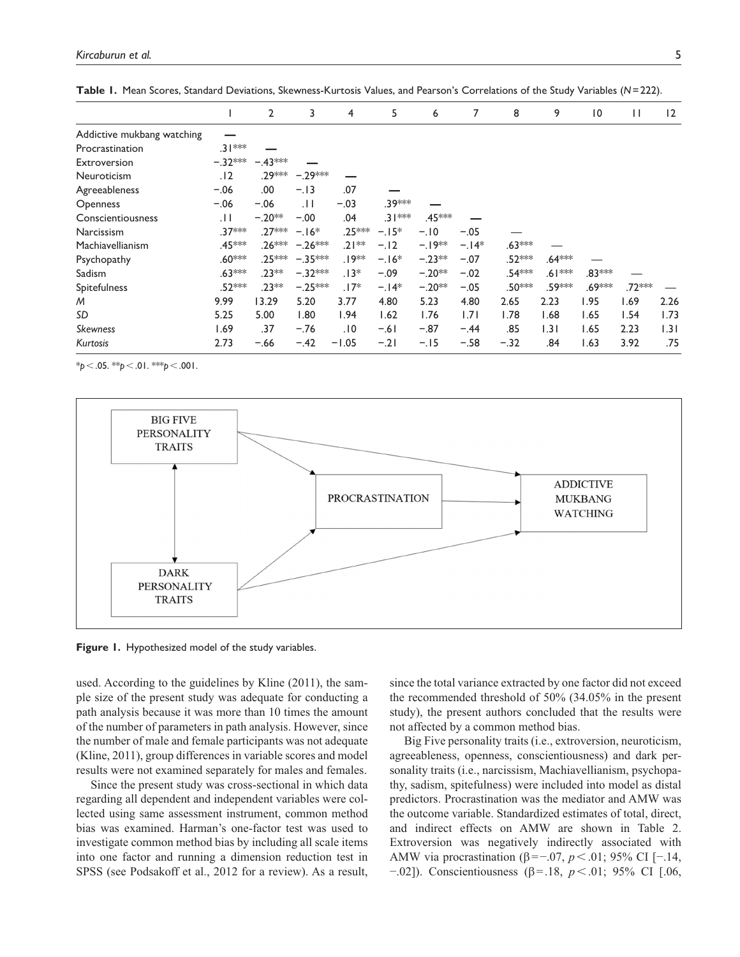|                            |           | $\overline{2}$ | 3                 | 4        | 5        | 6        | 7      | 8        | 9        | $\overline{0}$ | П       | 12   |
|----------------------------|-----------|----------------|-------------------|----------|----------|----------|--------|----------|----------|----------------|---------|------|
| Addictive mukbang watching |           |                |                   |          |          |          |        |          |          |                |         |      |
| Procrastination            | $.31***$  |                |                   |          |          |          |        |          |          |                |         |      |
| Extroversion               | $-.32***$ | $-.43***$      |                   |          |          |          |        |          |          |                |         |      |
| Neuroticism                | .12       | .29***         | $-.29***$         |          |          |          |        |          |          |                |         |      |
| Agreeableness              | $-.06$    | .00            | $-.13$            | .07      |          |          |        |          |          |                |         |      |
| <b>Openness</b>            | $-.06$    | $-.06$         | . H               | $-.03$   | .39***   |          |        |          |          |                |         |      |
| Conscientiousness          | .11       | $-.20**$       | $-.00$            | .04      | $.31***$ | .45***   |        |          |          |                |         |      |
| Narcissism                 | .37***    | .27***         | $-16*$            | .25***   | $-.15*$  | $-.10$   | $-.05$ |          |          |                |         |      |
| Machiavellianism           | .45***    |                | $.26*** - .26***$ | $.21***$ | $-.12$   | $-19**$  | $-14*$ | $.63***$ |          |                |         |      |
| Psychopathy                | $.60***$  | .25***         | $-.35***$         | .19**    | $-16*$   | $-.23**$ | $-.07$ | .52***   | .64***   |                |         |      |
| Sadism                     | $.63***$  | $.23**$        | $-.32***$         | $.13*$   | $-.09$   | $-.20**$ | $-.02$ | .54***   | $.61***$ | .83 ***        |         |      |
| Spitefulness               | .52***    | $.23**$        | $-.25***$         | $.17*$   | $-.14*$  | $-.20**$ | $-.05$ | .50***   | .59***   | .69***         | .72 *** |      |
| M                          | 9.99      | 13.29          | 5.20              | 3.77     | 4.80     | 5.23     | 4.80   | 2.65     | 2.23     | 1.95           | 1.69    | 2.26 |
| <b>SD</b>                  | 5.25      | 5.00           | 1.80              | 1.94     | 1.62     | 1.76     | 1.71   | 1.78     | 1.68     | 1.65           | 1.54    | 1.73 |
| Skewness                   | 1.69      | .37            | $-.76$            | .10      | $-.61$   | $-.87$   | $-.44$ | .85      | 1.31     | 1.65           | 2.23    | 1.31 |
| Kurtosis                   | 2.73      | $-.66$         | $-.42$            | $-1.05$  | $-21$    | $-.15$   | $-.58$ | $-.32$   | .84      | 1.63           | 3.92    | .75  |

**Table 1.** Mean Scores, Standard Deviations, Skewness-Kurtosis Values, and Pearson's Correlations of the Study Variables (*N*=222).

\**p*<.05. \*\**p*<.01. \*\*\**p*<.001.



**Figure 1.** Hypothesized model of the study variables.

used. According to the guidelines by Kline (2011), the sample size of the present study was adequate for conducting a path analysis because it was more than 10 times the amount of the number of parameters in path analysis. However, since the number of male and female participants was not adequate (Kline, 2011), group differences in variable scores and model results were not examined separately for males and females.

Since the present study was cross-sectional in which data regarding all dependent and independent variables were collected using same assessment instrument, common method bias was examined. Harman's one-factor test was used to investigate common method bias by including all scale items into one factor and running a dimension reduction test in SPSS (see Podsakoff et al., 2012 for a review). As a result, since the total variance extracted by one factor did not exceed the recommended threshold of 50% (34.05% in the present study), the present authors concluded that the results were not affected by a common method bias.

Big Five personality traits (i.e., extroversion, neuroticism, agreeableness, openness, conscientiousness) and dark personality traits (i.e., narcissism, Machiavellianism, psychopathy, sadism, spitefulness) were included into model as distal predictors. Procrastination was the mediator and AMW was the outcome variable. Standardized estimates of total, direct, and indirect effects on AMW are shown in Table 2. Extroversion was negatively indirectly associated with AMW via procrastination (β=−.07, *p*<.01; 95% CI [−.14, −.02]). Conscientiousness (β=.18, *p*<.01; 95% CI [.06,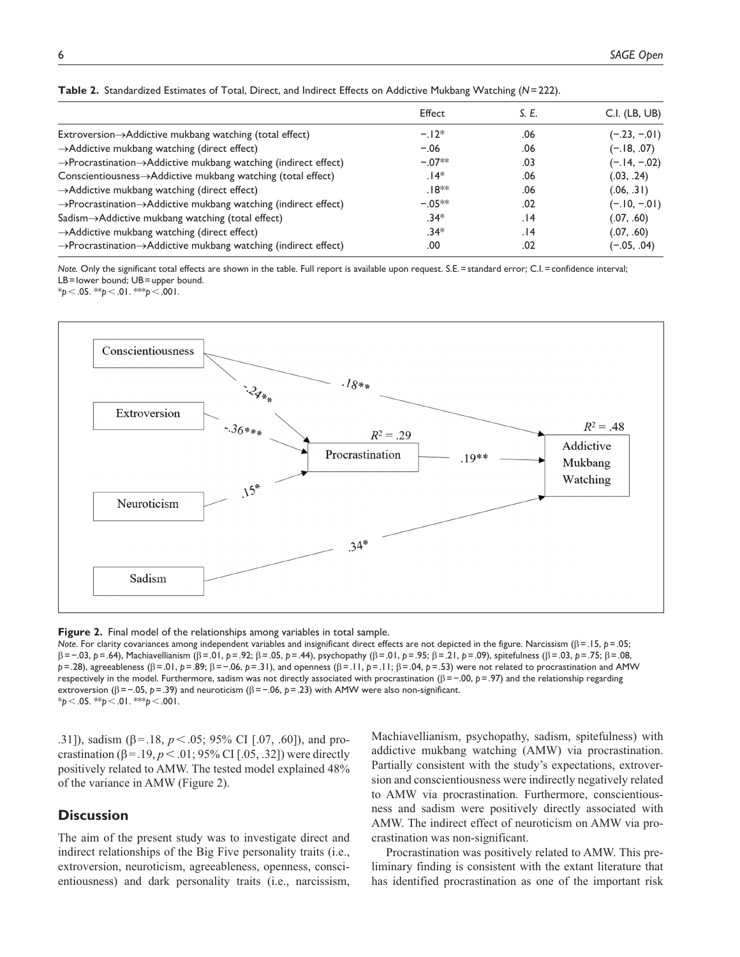| Effect    | S. E. | $C.I.$ (LB, UB) |
|-----------|-------|-----------------|
| $-12*$    | .06   | $(-.23, -.01)$  |
| $-.06$    | .06   | $(-.18, .07)$   |
| $-.07**$  | .03   | $(-.14, -.02)$  |
| $.14*$    | .06   | (.03, .24)      |
| $.18**$   | .06   | (.06, .31)      |
| $-.05***$ | .02   | $(-.10, -.01)$  |
| $.34*$    | 14.   | (.07, .60)      |
| $.34*$    | 14.   | (.07, .60)      |
| .00       | .02   | $(-.05, .04)$   |
|           |       |                 |

**Table 2.** Standardized Estimates of Total, Direct, and Indirect Effects on Addictive Mukbang Watching (*N*=222).

*Note.* Only the significant total effects are shown in the table. Full report is available upon request. S.E.=standard error; C.I.=confidence interval; LB=lower bound; UB=upper bound.

\**p*<.05. \*\**p*<.01. \*\*\**p*<.001.



**Figure 2.** Final model of the relationships among variables in total sample.

*Note*. For clarity covariances among independent variables and insignificant direct effects are not depicted in the figure. Narcissism (β=.15, *p*=.05; β=−.03, *p*=.64), Machiavellianism (β=.01, *p*=.92; β=.05, *p*=.44), psychopathy (β=.01, *p*=.95; β=.21, *p*=.09), spitefulness (β=.03, *p*=.75; β=.08, *p*=.28), agreeableness (β=.01, *p*=.89; β=−.06, *p*=.31), and openness (β=.11, *p*=.11; β=.04, *p*=.53) were not related to procrastination and AMW respectively in the model. Furthermore, sadism was not directly associated with procrastination (β=−.00, *p*=.97) and the relationship regarding extroversion (β=−.05, *p*=.39) and neuroticism (β=−.06, *p*=.23) with AMW were also non-significant. \**p*<.05. \*\**p*<.01. \*\*\**p*<.001.

.31]), sadism (β=.18, *p*<.05; 95% CI [.07, .60]), and procrastination (β = .19, *p* < .01; 95% CI [.05, .32]) were directly positively related to AMW. The tested model explained 48% of the variance in AMW (Figure 2).

# **Discussion**

The aim of the present study was to investigate direct and indirect relationships of the Big Five personality traits (i.e., extroversion, neuroticism, agreeableness, openness, conscientiousness) and dark personality traits (i.e., narcissism,

Machiavellianism, psychopathy, sadism, spitefulness) with addictive mukbang watching (AMW) via procrastination. Partially consistent with the study's expectations, extroversion and conscientiousness were indirectly negatively related to AMW via procrastination. Furthermore, conscientiousness and sadism were positively directly associated with AMW. The indirect effect of neuroticism on AMW via procrastination was non-significant.

Procrastination was positively related to AMW. This preliminary finding is consistent with the extant literature that has identified procrastination as one of the important risk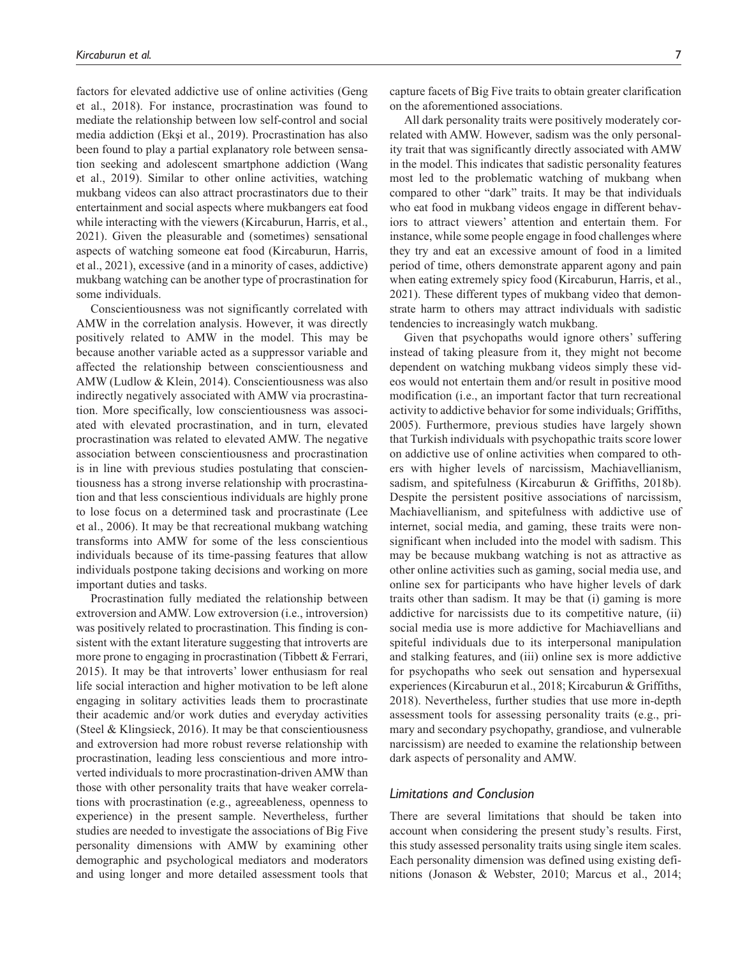factors for elevated addictive use of online activities (Geng et al., 2018). For instance, procrastination was found to mediate the relationship between low self-control and social media addiction (Ekşi et al., 2019). Procrastination has also been found to play a partial explanatory role between sensation seeking and adolescent smartphone addiction (Wang et al., 2019). Similar to other online activities, watching mukbang videos can also attract procrastinators due to their entertainment and social aspects where mukbangers eat food while interacting with the viewers (Kircaburun, Harris, et al., 2021). Given the pleasurable and (sometimes) sensational aspects of watching someone eat food (Kircaburun, Harris, et al., 2021), excessive (and in a minority of cases, addictive) mukbang watching can be another type of procrastination for some individuals.

Conscientiousness was not significantly correlated with AMW in the correlation analysis. However, it was directly positively related to AMW in the model. This may be because another variable acted as a suppressor variable and affected the relationship between conscientiousness and AMW (Ludlow & Klein, 2014). Conscientiousness was also indirectly negatively associated with AMW via procrastination. More specifically, low conscientiousness was associated with elevated procrastination, and in turn, elevated procrastination was related to elevated AMW. The negative association between conscientiousness and procrastination is in line with previous studies postulating that conscientiousness has a strong inverse relationship with procrastination and that less conscientious individuals are highly prone to lose focus on a determined task and procrastinate (Lee et al., 2006). It may be that recreational mukbang watching transforms into AMW for some of the less conscientious individuals because of its time-passing features that allow individuals postpone taking decisions and working on more important duties and tasks.

Procrastination fully mediated the relationship between extroversion and AMW. Low extroversion (i.e., introversion) was positively related to procrastination. This finding is consistent with the extant literature suggesting that introverts are more prone to engaging in procrastination (Tibbett & Ferrari, 2015). It may be that introverts' lower enthusiasm for real life social interaction and higher motivation to be left alone engaging in solitary activities leads them to procrastinate their academic and/or work duties and everyday activities (Steel & Klingsieck, 2016). It may be that conscientiousness and extroversion had more robust reverse relationship with procrastination, leading less conscientious and more introverted individuals to more procrastination-driven AMW than those with other personality traits that have weaker correlations with procrastination (e.g., agreeableness, openness to experience) in the present sample. Nevertheless, further studies are needed to investigate the associations of Big Five personality dimensions with AMW by examining other demographic and psychological mediators and moderators and using longer and more detailed assessment tools that

capture facets of Big Five traits to obtain greater clarification on the aforementioned associations.

All dark personality traits were positively moderately correlated with AMW. However, sadism was the only personality trait that was significantly directly associated with AMW in the model. This indicates that sadistic personality features most led to the problematic watching of mukbang when compared to other "dark" traits. It may be that individuals who eat food in mukbang videos engage in different behaviors to attract viewers' attention and entertain them. For instance, while some people engage in food challenges where they try and eat an excessive amount of food in a limited period of time, others demonstrate apparent agony and pain when eating extremely spicy food (Kircaburun, Harris, et al., 2021). These different types of mukbang video that demonstrate harm to others may attract individuals with sadistic tendencies to increasingly watch mukbang.

Given that psychopaths would ignore others' suffering instead of taking pleasure from it, they might not become dependent on watching mukbang videos simply these videos would not entertain them and/or result in positive mood modification (i.e., an important factor that turn recreational activity to addictive behavior for some individuals; Griffiths, 2005). Furthermore, previous studies have largely shown that Turkish individuals with psychopathic traits score lower on addictive use of online activities when compared to others with higher levels of narcissism, Machiavellianism, sadism, and spitefulness (Kircaburun & Griffiths, 2018b). Despite the persistent positive associations of narcissism, Machiavellianism, and spitefulness with addictive use of internet, social media, and gaming, these traits were nonsignificant when included into the model with sadism. This may be because mukbang watching is not as attractive as other online activities such as gaming, social media use, and online sex for participants who have higher levels of dark traits other than sadism. It may be that (i) gaming is more addictive for narcissists due to its competitive nature, (ii) social media use is more addictive for Machiavellians and spiteful individuals due to its interpersonal manipulation and stalking features, and (iii) online sex is more addictive for psychopaths who seek out sensation and hypersexual experiences (Kircaburun et al., 2018; Kircaburun & Griffiths, 2018). Nevertheless, further studies that use more in-depth assessment tools for assessing personality traits (e.g., primary and secondary psychopathy, grandiose, and vulnerable narcissism) are needed to examine the relationship between dark aspects of personality and AMW.

#### *Limitations and Conclusion*

There are several limitations that should be taken into account when considering the present study's results. First, this study assessed personality traits using single item scales. Each personality dimension was defined using existing definitions (Jonason & Webster, 2010; Marcus et al., 2014;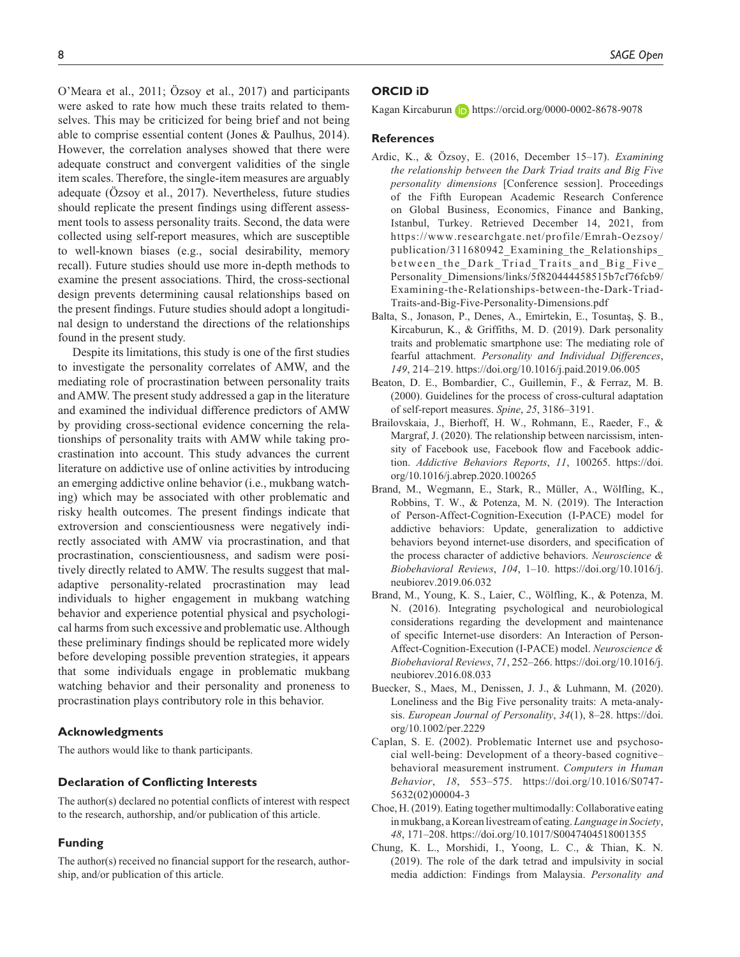O'Meara et al., 2011; Özsoy et al., 2017) and participants were asked to rate how much these traits related to themselves. This may be criticized for being brief and not being able to comprise essential content (Jones & Paulhus, 2014). However, the correlation analyses showed that there were adequate construct and convergent validities of the single item scales. Therefore, the single-item measures are arguably adequate (Özsoy et al., 2017). Nevertheless, future studies should replicate the present findings using different assessment tools to assess personality traits. Second, the data were collected using self-report measures, which are susceptible to well-known biases (e.g., social desirability, memory recall). Future studies should use more in-depth methods to examine the present associations. Third, the cross-sectional design prevents determining causal relationships based on the present findings. Future studies should adopt a longitudinal design to understand the directions of the relationships found in the present study.

Despite its limitations, this study is one of the first studies to investigate the personality correlates of AMW, and the mediating role of procrastination between personality traits and AMW. The present study addressed a gap in the literature and examined the individual difference predictors of AMW by providing cross-sectional evidence concerning the relationships of personality traits with AMW while taking procrastination into account. This study advances the current literature on addictive use of online activities by introducing an emerging addictive online behavior (i.e., mukbang watching) which may be associated with other problematic and risky health outcomes. The present findings indicate that extroversion and conscientiousness were negatively indirectly associated with AMW via procrastination, and that procrastination, conscientiousness, and sadism were positively directly related to AMW. The results suggest that maladaptive personality-related procrastination may lead individuals to higher engagement in mukbang watching behavior and experience potential physical and psychological harms from such excessive and problematic use. Although these preliminary findings should be replicated more widely before developing possible prevention strategies, it appears that some individuals engage in problematic mukbang watching behavior and their personality and proneness to procrastination plays contributory role in this behavior.

#### **Acknowledgments**

The authors would like to thank participants.

## **Declaration of Conflicting Interests**

The author(s) declared no potential conflicts of interest with respect to the research, authorship, and/or publication of this article.

#### **Funding**

The author(s) received no financial support for the research, authorship, and/or publication of this article.

#### **ORCID iD**

Kagan Kircaburun **iD** <https://orcid.org/0000-0002-8678-9078>

#### **References**

- Ardic, K., & Özsoy, E. (2016, December 15–17). *Examining the relationship between the Dark Triad traits and Big Five personality dimensions* [Conference session]. Proceedings of the Fifth European Academic Research Conference on Global Business, Economics, Finance and Banking, Istanbul, Turkey. Retrieved December 14, 2021, from [https://www.researchgate.net/profile/Emrah-Oezsoy/](https://www.researchgate.net/profile/Emrah-Oezsoy/publication/311680942_Examining_the_Relationships_between_the_Dark_Triad_Traits_and_Big_Five_Personality_Dimensions/links/5f820444458515b7cf76fcb9/Examining-the-Relationships-between-the-Dark-Triad-Traits-and-Big-Five-Personality-Dimensions.pdf) [publication/311680942\\_Examining\\_the\\_Relationships\\_](https://www.researchgate.net/profile/Emrah-Oezsoy/publication/311680942_Examining_the_Relationships_between_the_Dark_Triad_Traits_and_Big_Five_Personality_Dimensions/links/5f820444458515b7cf76fcb9/Examining-the-Relationships-between-the-Dark-Triad-Traits-and-Big-Five-Personality-Dimensions.pdf) between the Dark Triad Traits and Big Five [Personality\\_Dimensions/links/5f820444458515b7cf76fcb9/](https://www.researchgate.net/profile/Emrah-Oezsoy/publication/311680942_Examining_the_Relationships_between_the_Dark_Triad_Traits_and_Big_Five_Personality_Dimensions/links/5f820444458515b7cf76fcb9/Examining-the-Relationships-between-the-Dark-Triad-Traits-and-Big-Five-Personality-Dimensions.pdf) [Examining-the-Relationships-between-the-Dark-Triad-](https://www.researchgate.net/profile/Emrah-Oezsoy/publication/311680942_Examining_the_Relationships_between_the_Dark_Triad_Traits_and_Big_Five_Personality_Dimensions/links/5f820444458515b7cf76fcb9/Examining-the-Relationships-between-the-Dark-Triad-Traits-and-Big-Five-Personality-Dimensions.pdf)[Traits-and-Big-Five-Personality-Dimensions.pdf](https://www.researchgate.net/profile/Emrah-Oezsoy/publication/311680942_Examining_the_Relationships_between_the_Dark_Triad_Traits_and_Big_Five_Personality_Dimensions/links/5f820444458515b7cf76fcb9/Examining-the-Relationships-between-the-Dark-Triad-Traits-and-Big-Five-Personality-Dimensions.pdf)
- Balta, S., Jonason, P., Denes, A., Emirtekin, E., Tosuntaş, Ş. B., Kircaburun, K., & Griffiths, M. D. (2019). Dark personality traits and problematic smartphone use: The mediating role of fearful attachment. *Personality and Individual Differences*, *149*, 214–219. <https://doi.org/10.1016/j.paid.2019.06.005>
- Beaton, D. E., Bombardier, C., Guillemin, F., & Ferraz, M. B. (2000). Guidelines for the process of cross-cultural adaptation of self-report measures. *Spine*, *25*, 3186–3191.
- Brailovskaia, J., Bierhoff, H. W., Rohmann, E., Raeder, F., & Margraf, J. (2020). The relationship between narcissism, intensity of Facebook use, Facebook flow and Facebook addiction. *Addictive Behaviors Reports*, *11*, 100265. [https://doi.](https://doi.org/10.1016/j.abrep.2020.100265) [org/10.1016/j.abrep.2020.100265](https://doi.org/10.1016/j.abrep.2020.100265)
- Brand, M., Wegmann, E., Stark, R., Müller, A., Wölfling, K., Robbins, T. W., & Potenza, M. N. (2019). The Interaction of Person-Affect-Cognition-Execution (I-PACE) model for addictive behaviors: Update, generalization to addictive behaviors beyond internet-use disorders, and specification of the process character of addictive behaviors. *Neuroscience & Biobehavioral Reviews*, *104*, 1–10. [https://doi.org/10.1016/j.](https://doi.org/10.1016/j.neubiorev.2019.06.032) [neubiorev.2019.06.032](https://doi.org/10.1016/j.neubiorev.2019.06.032)
- Brand, M., Young, K. S., Laier, C., Wölfling, K., & Potenza, M. N. (2016). Integrating psychological and neurobiological considerations regarding the development and maintenance of specific Internet-use disorders: An Interaction of Person-Affect-Cognition-Execution (I-PACE) model. *Neuroscience & Biobehavioral Reviews*, *71*, 252–266. [https://doi.org/10.1016/j.](https://doi.org/10.1016/j.neubiorev.2016.08.033) [neubiorev.2016.08.033](https://doi.org/10.1016/j.neubiorev.2016.08.033)
- Buecker, S., Maes, M., Denissen, J. J., & Luhmann, M. (2020). Loneliness and the Big Five personality traits: A meta-analysis. *European Journal of Personality*, *34*(1), 8–28. [https://doi.](https://doi.org/10.1002/per.2229) [org/10.1002/per.2229](https://doi.org/10.1002/per.2229)
- Caplan, S. E. (2002). Problematic Internet use and psychosocial well-being: Development of a theory-based cognitive– behavioral measurement instrument. *Computers in Human Behavior*, *18*, 553–575. [https://doi.org/10.1016/S0747-](https://doi.org/10.1016/S0747-5632(02)00004-3) [5632\(02\)00004-3](https://doi.org/10.1016/S0747-5632(02)00004-3)
- Choe, H. (2019). Eating together multimodally: Collaborative eating in mukbang, a Korean livestream of eating. *Language in Society*, *48*, 171–208.<https://doi.org/10.1017/S0047404518001355>
- Chung, K. L., Morshidi, I., Yoong, L. C., & Thian, K. N. (2019). The role of the dark tetrad and impulsivity in social media addiction: Findings from Malaysia. *Personality and*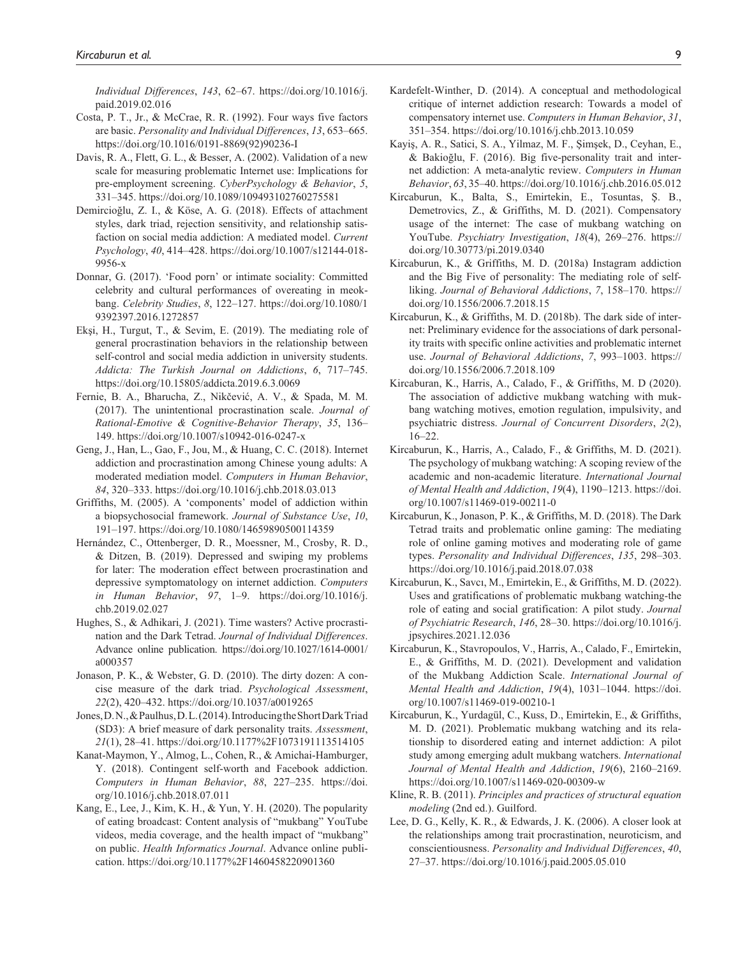*Individual Differences*, *143*, 62–67. [https://doi.org/10.1016/j.](https://doi.org/10.1016/j.paid.2019.02.016) [paid.2019.02.016](https://doi.org/10.1016/j.paid.2019.02.016)

- Costa, P. T., Jr., & McCrae, R. R. (1992). Four ways five factors are basic. *Personality and Individual Differences*, *13*, 653–665. [https://doi.org/10.1016/0191-8869\(92\)90236-I](https://doi.org/10.1016/0191-8869(92)90236-I)
- Davis, R. A., Flett, G. L., & Besser, A. (2002). Validation of a new scale for measuring problematic Internet use: Implications for pre-employment screening. *CyberPsychology & Behavior*, *5*, 331–345. <https://doi.org/10.1089/109493102760275581>
- Demircioğlu, Z. I., & Köse, A. G. (2018). Effects of attachment styles, dark triad, rejection sensitivity, and relationship satisfaction on social media addiction: A mediated model. *Current Psychology*, *40*, 414–428. [https://doi.org/10.1007/s12144-018-](https://doi.org/10.1007/s12144-018-9956-x) [9956-x](https://doi.org/10.1007/s12144-018-9956-x)
- Donnar, G. (2017). 'Food porn' or intimate sociality: Committed celebrity and cultural performances of overeating in meokbang. *Celebrity Studies*, *8*, 122–127. [https://doi.org/10.1080/1](https://doi.org/10.1080/19392397.2016.1272857) [9392397.2016.1272857](https://doi.org/10.1080/19392397.2016.1272857)
- Ekşi, H., Turgut, T., & Sevim, E. (2019). The mediating role of general procrastination behaviors in the relationship between self-control and social media addiction in university students. *Addicta: The Turkish Journal on Addictions*, *6*, 717–745. <https://doi.org/10.15805/addicta.2019.6.3.0069>
- Fernie, B. A., Bharucha, Z., Nikčević, A. V., & Spada, M. M. (2017). The unintentional procrastination scale. *Journal of Rational-Emotive & Cognitive-Behavior Therapy*, *35*, 136– 149. <https://doi.org/10.1007/s10942-016-0247-x>
- Geng, J., Han, L., Gao, F., Jou, M., & Huang, C. C. (2018). Internet addiction and procrastination among Chinese young adults: A moderated mediation model. *Computers in Human Behavior*, *84*, 320–333.<https://doi.org/10.1016/j.chb.2018.03.013>
- Griffiths, M. (2005). A 'components' model of addiction within a biopsychosocial framework. *Journal of Substance Use*, *10*, 191–197. <https://doi.org/10.1080/14659890500114359>
- Hernández, C., Ottenberger, D. R., Moessner, M., Crosby, R. D., & Ditzen, B. (2019). Depressed and swiping my problems for later: The moderation effect between procrastination and depressive symptomatology on internet addiction. *Computers in Human Behavior*, *97*, 1–9. [https://doi.org/10.1016/j.](https://doi.org/10.1016/j.chb.2019.02.027) [chb.2019.02.027](https://doi.org/10.1016/j.chb.2019.02.027)
- Hughes, S., & Adhikari, J. (2021). Time wasters? Active procrastination and the Dark Tetrad. *Journal of Individual Differences*. Advance online publication. [https://doi.org/10.1027/1614-0001/](https://doi.org/10.1027/1614-0001/a000357) [a000357](https://doi.org/10.1027/1614-0001/a000357)
- Jonason, P. K., & Webster, G. D. (2010). The dirty dozen: A concise measure of the dark triad. *Psychological Assessment*, *22*(2), 420–432. <https://doi.org/10.1037/a0019265>
- Jones, D. N., & Paulhus, D. L. (2014). Introducing the Short Dark Triad (SD3): A brief measure of dark personality traits. *Assessment*, *21*(1), 28–41. <https://doi.org/10.1177%2F1073191113514105>
- Kanat-Maymon, Y., Almog, L., Cohen, R., & Amichai-Hamburger, Y. (2018). Contingent self-worth and Facebook addiction. *Computers in Human Behavior*, *88*, 227–235. [https://doi.](https://doi.org/10.1016/j.chb.2018.07.011) [org/10.1016/j.chb.2018.07.011](https://doi.org/10.1016/j.chb.2018.07.011)
- Kang, E., Lee, J., Kim, K. H., & Yun, Y. H. (2020). The popularity of eating broadcast: Content analysis of "mukbang" YouTube videos, media coverage, and the health impact of "mukbang" on public. *Health Informatics Journal*. Advance online publication.<https://doi.org/10.1177%2F1460458220901360>
- Kardefelt-Winther, D. (2014). A conceptual and methodological critique of internet addiction research: Towards a model of compensatory internet use. *Computers in Human Behavior*, *31*, 351–354.<https://doi.org/10.1016/j.chb.2013.10.059>
- Kayiş, A. R., Satici, S. A., Yilmaz, M. F., Şimşek, D., Ceyhan, E., & Bakioğlu, F. (2016). Big five-personality trait and internet addiction: A meta-analytic review. *Computers in Human Behavior*, *63*, 35–40.<https://doi.org/10.1016/j.chb.2016.05.012>
- Kircaburun, K., Balta, S., Emirtekin, E., Tosuntas, Ş. B., Demetrovics, Z., & Griffiths, M. D. (2021). Compensatory usage of the internet: The case of mukbang watching on YouTube. *Psychiatry Investigation*, *18*(4), 269–276. [https://](https://doi.org/10.30773/pi.2019.0340) [doi.org/10.30773/pi.2019.0340](https://doi.org/10.30773/pi.2019.0340)
- Kircaburun, K., & Griffiths, M. D. (2018a) Instagram addiction and the Big Five of personality: The mediating role of selfliking. *Journal of Behavioral Addictions*, *7*, 158–170. [https://](https://doi.org/10.1556/2006.7.2018.15) [doi.org/10.1556/2006.7.2018.15](https://doi.org/10.1556/2006.7.2018.15)
- Kircaburun, K., & Griffiths, M. D. (2018b). The dark side of internet: Preliminary evidence for the associations of dark personality traits with specific online activities and problematic internet use. *Journal of Behavioral Addictions*, *7*, 993–1003. [https://](https://doi.org/10.1556/2006.7.2018.109) [doi.org/10.1556/2006.7.2018.109](https://doi.org/10.1556/2006.7.2018.109)
- Kircaburan, K., Harris, A., Calado, F., & Griffiths, M. D (2020). The association of addictive mukbang watching with mukbang watching motives, emotion regulation, impulsivity, and psychiatric distress. *Journal of Concurrent Disorders*, *2*(2), 16–22.
- Kircaburun, K., Harris, A., Calado, F., & Griffiths, M. D. (2021). The psychology of mukbang watching: A scoping review of the academic and non-academic literature. *International Journal of Mental Health and Addiction*, *19*(4), 1190–1213. [https://doi.](https://doi.org/10.1007/s11469-019-00211-0) [org/10.1007/s11469-019-00211-0](https://doi.org/10.1007/s11469-019-00211-0)
- Kircaburun, K., Jonason, P. K., & Griffiths, M. D. (2018). The Dark Tetrad traits and problematic online gaming: The mediating role of online gaming motives and moderating role of game types. *Personality and Individual Differences*, *135*, 298–303. <https://doi.org/10.1016/j.paid.2018.07.038>
- Kircaburun, K., Savcı, M., Emirtekin, E., & Griffiths, M. D. (2022). Uses and gratifications of problematic mukbang watching-the role of eating and social gratification: A pilot study. *Journal of Psychiatric Research*, *146*, 28–30. [https://doi.org/10.1016/j.](https://doi.org/10.1016/j.jpsychires.2021.12.036) [jpsychires.2021.12.036](https://doi.org/10.1016/j.jpsychires.2021.12.036)
- Kircaburun, K., Stavropoulos, V., Harris, A., Calado, F., Emirtekin, E., & Griffiths, M. D. (2021). Development and validation of the Mukbang Addiction Scale. *International Journal of Mental Health and Addiction*, *19*(4), 1031–1044. [https://doi.](https://doi.org/10.1007/s11469-019-00210-1) [org/10.1007/s11469-019-00210-1](https://doi.org/10.1007/s11469-019-00210-1)
- Kircaburun, K., Yurdagül, C., Kuss, D., Emirtekin, E., & Griffiths, M. D. (2021). Problematic mukbang watching and its relationship to disordered eating and internet addiction: A pilot study among emerging adult mukbang watchers. *International Journal of Mental Health and Addiction*, *19*(6), 2160–2169. <https://doi.org/10.1007/s11469-020-00309-w>
- Kline, R. B. (2011). *Principles and practices of structural equation modeling* (2nd ed.). Guilford.
- Lee, D. G., Kelly, K. R., & Edwards, J. K. (2006). A closer look at the relationships among trait procrastination, neuroticism, and conscientiousness. *Personality and Individual Differences*, *40*, 27–37. <https://doi.org/10.1016/j.paid.2005.05.010>